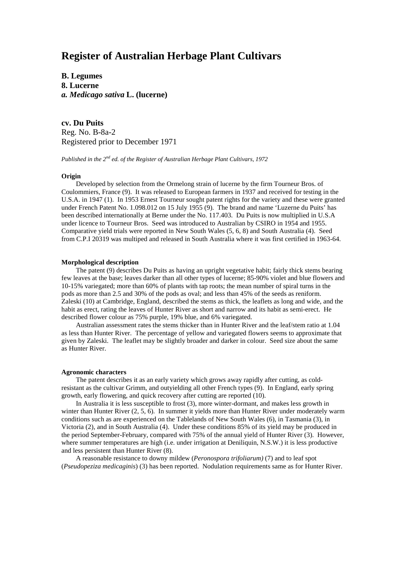# **Register of Australian Herbage Plant Cultivars**

**B. Legumes 8. Lucerne** *a. Medicago sativa* **L. (lucerne)**

**cv. Du Puits** Reg. No. B-8a-2 Registered prior to December 1971

*Published in the 2nd ed. of the Register of Australian Herbage Plant Cultivars, 1972*

## **Origin**

Developed by selection from the Ormelong strain of lucerne by the firm Tourneur Bros. of Coulommiers, France (9). It was released to European farmers in 1937 and received for testing in the U.S.A. in 1947 (1). In 1953 Ernest Tourneur sought patent rights for the variety and these were granted under French Patent No. 1.098.012 on 15 July 1955 (9). The brand and name 'Luzerne du Puits' has been described internationally at Berne under the No. 117.403. Du Puits is now multiplied in U.S.A under licence to Tourneur Bros. Seed was introduced to Australian by CSIRO in 1954 and 1955. Comparative yield trials were reported in New South Wales (5, 6, 8) and South Australia (4). Seed from C.P.I 20319 was multiped and released in South Australia where it was first certified in 1963-64.

### **Morphological description**

The patent (9) describes Du Puits as having an upright vegetative habit; fairly thick stems bearing few leaves at the base; leaves darker than all other types of lucerne; 85-90% violet and blue flowers and 10-15% variegated; more than 60% of plants with tap roots; the mean number of spiral turns in the pods as more than 2.5 and 30% of the pods as oval; and less than 45% of the seeds as reniform. Zaleski (10) at Cambridge, England, described the stems as thick, the leaflets as long and wide, and the habit as erect, rating the leaves of Hunter River as short and narrow and its habit as semi-erect. He described flower colour as 75% purple, 19% blue, and 6% variegated.

Australian assessment rates the stems thicker than in Hunter River and the leaf/stem ratio at 1.04 as less than Hunter River. The percentage of yellow and variegated flowers seems to approximate that given by Zaleski. The leaflet may be slightly broader and darker in colour. Seed size about the same as Hunter River.

#### **Agronomic characters**

The patent describes it as an early variety which grows away rapidly after cutting, as coldresistant as the cultivar Grimm, and outyielding all other French types (9). In England, early spring growth, early flowering, and quick recovery after cutting are reported (10).

In Australia it is less susceptible to frost (3), more winter-dormant, and makes less growth in winter than Hunter River (2, 5, 6). In summer it yields more than Hunter River under moderately warm conditions such as are experienced on the Tablelands of New South Wales (6), in Tasmania (3), in Victoria (2), and in South Australia (4). Under these conditions 85% of its yield may be produced in the period September-February, compared with 75% of the annual yield of Hunter River (3). However, where summer temperatures are high (i.e. under irrigation at Deniliquin, N.S.W.) it is less productive and less persistent than Hunter River (8).

A reasonable resistance to downy mildew (*Peronospora trifoliarum)* (7) and to leaf spot (*Pseudopeziza medicaginis*) (3) has been reported. Nodulation requirements same as for Hunter River.